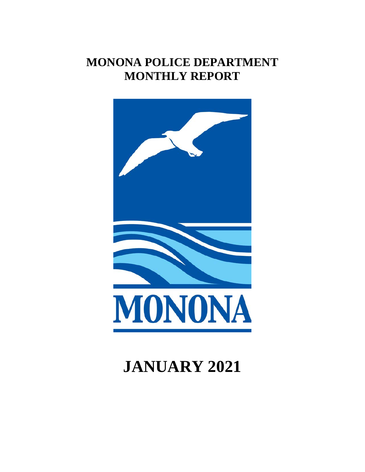## **MONONA POLICE DEPARTMENT MONTHLY REPORT**



# **JANUARY 2021**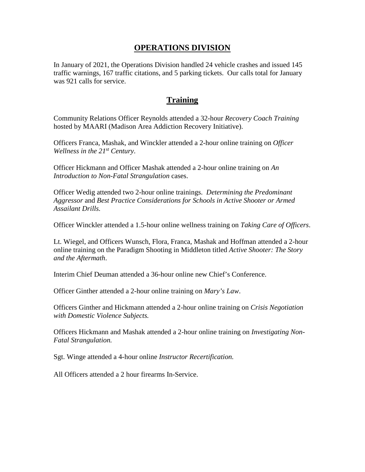#### **OPERATIONS DIVISION**

In January of 2021, the Operations Division handled 24 vehicle crashes and issued 145 traffic warnings, 167 traffic citations, and 5 parking tickets. Our calls total for January was 921 calls for service.

## **Training**

Community Relations Officer Reynolds attended a 32-hour *Recovery Coach Training*  hosted by MAARI (Madison Area Addiction Recovery Initiative).

Officers Franca, Mashak, and Winckler attended a 2-hour online training on *Officer Wellness in the 21st Century*.

Officer Hickmann and Officer Mashak attended a 2-hour online training on *An Introduction to Non-Fatal Strangulation* cases.

Officer Wedig attended two 2-hour online trainings. *Determining the Predominant Aggressor* and *Best Practice Considerations for Schools in Active Shooter or Armed Assailant Drills.*

Officer Winckler attended a 1.5-hour online wellness training on *Taking Care of Officers*.

Lt. Wiegel, and Officers Wunsch, Flora, Franca, Mashak and Hoffman attended a 2-hour online training on the Paradigm Shooting in Middleton titled *Active Shooter: The Story and the Aftermath*.

Interim Chief Deuman attended a 36-hour online new Chief's Conference.

Officer Ginther attended a 2-hour online training on *Mary's Law*.

Officers Ginther and Hickmann attended a 2-hour online training on *Crisis Negotiation with Domestic Violence Subjects.*

Officers Hickmann and Mashak attended a 2-hour online training on *Investigating Non-Fatal Strangulation.* 

Sgt. Winge attended a 4-hour online *Instructor Recertification.* 

All Officers attended a 2 hour firearms In-Service.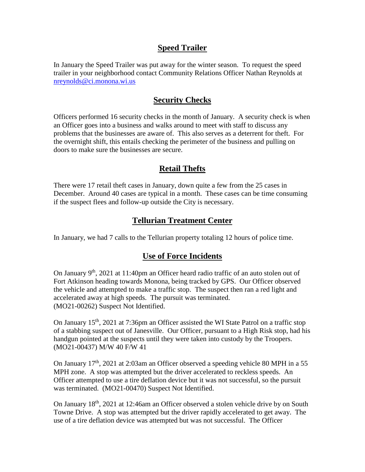## **Speed Trailer**

In January the Speed Trailer was put away for the winter season. To request the speed trailer in your neighborhood contact Community Relations Officer Nathan Reynolds at [nreynolds@ci.monona.wi.us](mailto:nreynolds@ci.monona.wi.us)

## **Security Checks**

Officers performed 16 security checks in the month of January. A security check is when an Officer goes into a business and walks around to meet with staff to discuss any problems that the businesses are aware of. This also serves as a deterrent for theft. For the overnight shift, this entails checking the perimeter of the business and pulling on doors to make sure the businesses are secure.

## **Retail Thefts**

There were 17 retail theft cases in January, down quite a few from the 25 cases in December. Around 40 cases are typical in a month. These cases can be time consuming if the suspect flees and follow-up outside the City is necessary.

## **Tellurian Treatment Center**

In January, we had 7 calls to the Tellurian property totaling 12 hours of police time.

#### **Use of Force Incidents**

On January  $9<sup>th</sup>$ , 2021 at 11:40pm an Officer heard radio traffic of an auto stolen out of Fort Atkinson heading towards Monona, being tracked by GPS. Our Officer observed the vehicle and attempted to make a traffic stop. The suspect then ran a red light and accelerated away at high speeds. The pursuit was terminated. (MO21-00262) Suspect Not Identified.

On January  $15<sup>th</sup>$ , 2021 at 7:36pm an Officer assisted the WI State Patrol on a traffic stop of a stabbing suspect out of Janesville. Our Officer, pursuant to a High Risk stop, had his handgun pointed at the suspects until they were taken into custody by the Troopers. (MO21-00437) M/W 40 F/W 41

On January  $17<sup>th</sup>$ , 2021 at 2:03am an Officer observed a speeding vehicle 80 MPH in a 55 MPH zone. A stop was attempted but the driver accelerated to reckless speeds. An Officer attempted to use a tire deflation device but it was not successful, so the pursuit was terminated. (MO21-00470) Suspect Not Identified.

On January 18<sup>th</sup>, 2021 at 12:46am an Officer observed a stolen vehicle drive by on South Towne Drive. A stop was attempted but the driver rapidly accelerated to get away. The use of a tire deflation device was attempted but was not successful. The Officer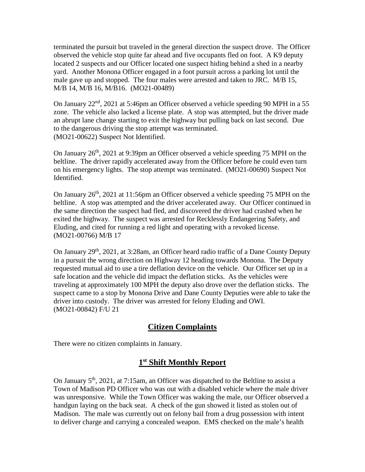terminated the pursuit but traveled in the general direction the suspect drove. The Officer observed the vehicle stop quite far ahead and five occupants fled on foot. A K9 deputy located 2 suspects and our Officer located one suspect hiding behind a shed in a nearby yard. Another Monona Officer engaged in a foot pursuit across a parking lot until the male gave up and stopped. The four males were arrested and taken to JRC. M/B 15, M/B 14, M/B 16, M/B16. (MO21-00489)

On January  $22<sup>nd</sup>$ ,  $2021$  at 5:46pm an Officer observed a vehicle speeding 90 MPH in a 55 zone. The vehicle also lacked a license plate. A stop was attempted, but the driver made an abrupt lane change starting to exit the highway but pulling back on last second. Due to the dangerous driving the stop attempt was terminated. (MO21-00622) Suspect Not Identified.

On January  $26<sup>th</sup>$ ,  $2021$  at 9:39pm an Officer observed a vehicle speeding 75 MPH on the beltline. The driver rapidly accelerated away from the Officer before he could even turn on his emergency lights. The stop attempt was terminated. (MO21-00690) Suspect Not Identified.

On January  $26<sup>th</sup>$ , 2021 at 11:56pm an Officer observed a vehicle speeding 75 MPH on the beltline. A stop was attempted and the driver accelerated away. Our Officer continued in the same direction the suspect had fled, and discovered the driver had crashed when he exited the highway. The suspect was arrested for Recklessly Endangering Safety, and Eluding, and cited for running a red light and operating with a revoked license. (MO21-00766) M/B 17

On January 29<sup>th</sup>, 2021, at 3:28am, an Officer heard radio traffic of a Dane County Deputy in a pursuit the wrong direction on Highway 12 heading towards Monona. The Deputy requested mutual aid to use a tire deflation device on the vehicle. Our Officer set up in a safe location and the vehicle did impact the deflation sticks. As the vehicles were traveling at approximately 100 MPH the deputy also drove over the deflation sticks. The suspect came to a stop by Monona Drive and Dane County Deputies were able to take the driver into custody. The driver was arrested for felony Eluding and OWI. (MO21-00842) F/U 21

## **Citizen Complaints**

There were no citizen complaints in January.

## **1st Shift Monthly Report**

On January  $5<sup>th</sup>$ , 2021, at 7:15am, an Officer was dispatched to the Beltline to assist a Town of Madison PD Officer who was out with a disabled vehicle where the male driver was unresponsive. While the Town Officer was waking the male, our Officer observed a handgun laying on the back seat. A check of the gun showed it listed as stolen out of Madison. The male was currently out on felony bail from a drug possession with intent to deliver charge and carrying a concealed weapon. EMS checked on the male's health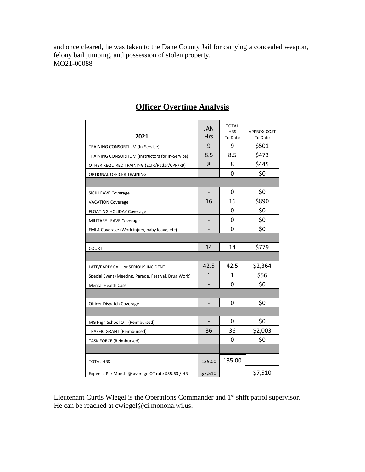and once cleared, he was taken to the Dane County Jail for carrying a concealed weapon, felony bail jumping, and possession of stolen property. MO21-00088

| 2021                                                 | <b>JAN</b><br><b>Hrs</b> | <b>TOTAL</b><br><b>HRS</b><br>To Date | <b>APPROX COST</b><br>To Date |  |
|------------------------------------------------------|--------------------------|---------------------------------------|-------------------------------|--|
| TRAINING CONSORTIUM (In-Service)                     | 9                        | 9                                     | \$501                         |  |
| TRAINING CONSORTIUM (Instructors for In-Service)     | 8.5                      | 8.5                                   | \$473                         |  |
| OTHER REQUIRED TRAINING (ECIR/Radar/CPR/K9)          | 8                        | 8                                     | \$445                         |  |
| OPTIONAL OFFICER TRAINING                            |                          | 0                                     | \$0                           |  |
|                                                      |                          |                                       |                               |  |
| <b>SICK LEAVE Coverage</b>                           |                          | 0                                     | \$0                           |  |
| <b>VACATION Coverage</b>                             | 16                       | 16                                    | \$890                         |  |
| <b>FLOATING HOLIDAY Coverage</b>                     |                          | 0                                     | \$0                           |  |
| MILITARY LEAVE Coverage                              |                          | 0                                     | \$0                           |  |
| FMLA Coverage (Work injury, baby leave, etc)         |                          | 0                                     | \$0                           |  |
|                                                      |                          |                                       |                               |  |
| <b>COURT</b>                                         | 14                       | 14                                    | \$779                         |  |
|                                                      |                          |                                       |                               |  |
| LATE/EARLY CALL or SERIOUS INCIDENT                  | 42.5                     | 42.5                                  | \$2,364                       |  |
| Special Event (Meeting, Parade, Festival, Drug Work) | 1                        | 1                                     | \$56                          |  |
| <b>Mental Health Case</b>                            |                          | 0                                     | \$0                           |  |
|                                                      |                          |                                       |                               |  |
| Officer Dispatch Coverage                            |                          | 0                                     | \$0                           |  |
|                                                      |                          |                                       |                               |  |
| MG High School OT (Reimbursed)                       |                          | 0                                     | \$0                           |  |
| <b>TRAFFIC GRANT (Reimbursed)</b>                    | 36                       | 36                                    | \$2,003                       |  |
| <b>TASK FORCE (Reimbursed)</b>                       |                          | 0                                     | \$0                           |  |
|                                                      |                          |                                       |                               |  |
| <b>TOTAL HRS</b>                                     | 135.00                   | 135.00                                |                               |  |
| Expense Per Month @ average OT rate \$55.63 / HR     | \$7,510                  |                                       | \$7,510                       |  |

## **Officer Overtime Analysis**

Lieutenant Curtis Wiegel is the Operations Commander and 1<sup>st</sup> shift patrol supervisor. He can be reached at <u>cwiegel@ci.monona.wi.us</u>.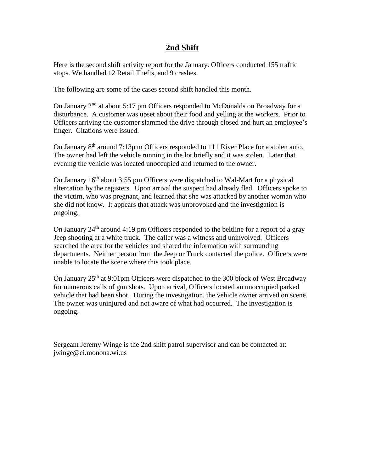#### **2nd Shift**

Here is the second shift activity report for the January. Officers conducted 155 traffic stops. We handled 12 Retail Thefts, and 9 crashes.

The following are some of the cases second shift handled this month.

On January  $2<sup>nd</sup>$  at about 5:17 pm Officers responded to McDonalds on Broadway for a disturbance. A customer was upset about their food and yelling at the workers. Prior to Officers arriving the customer slammed the drive through closed and hurt an employee's finger. Citations were issued.

On January 8<sup>th</sup> around 7:13p m Officers responded to 111 River Place for a stolen auto. The owner had left the vehicle running in the lot briefly and it was stolen. Later that evening the vehicle was located unoccupied and returned to the owner.

On January  $16<sup>th</sup>$  about 3:55 pm Officers were dispatched to Wal-Mart for a physical altercation by the registers. Upon arrival the suspect had already fled. Officers spoke to the victim, who was pregnant, and learned that she was attacked by another woman who she did not know. It appears that attack was unprovoked and the investigation is ongoing.

On January  $24<sup>th</sup>$  around 4:19 pm Officers responded to the beltline for a report of a gray Jeep shooting at a white truck. The caller was a witness and uninvolved. Officers searched the area for the vehicles and shared the information with surrounding departments. Neither person from the Jeep or Truck contacted the police. Officers were unable to locate the scene where this took place.

On January  $25<sup>th</sup>$  at 9:01pm Officers were dispatched to the 300 block of West Broadway for numerous calls of gun shots. Upon arrival, Officers located an unoccupied parked vehicle that had been shot. During the investigation, the vehicle owner arrived on scene. The owner was uninjured and not aware of what had occurred. The investigation is ongoing.

Sergeant Jeremy Winge is the 2nd shift patrol supervisor and can be contacted at: jwinge@ci.monona.wi.us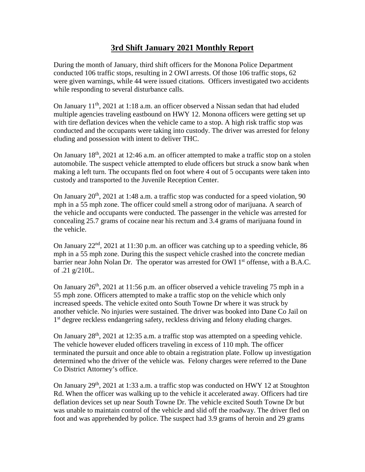## **3rd Shift January 2021 Monthly Report**

During the month of January, third shift officers for the Monona Police Department conducted 106 traffic stops, resulting in 2 OWI arrests. Of those 106 traffic stops, 62 were given warnings, while 44 were issued citations. Officers investigated two accidents while responding to several disturbance calls.

On January  $11<sup>th</sup>$ , 2021 at 1:18 a.m. an officer observed a Nissan sedan that had eluded multiple agencies traveling eastbound on HWY 12. Monona officers were getting set up with tire deflation devices when the vehicle came to a stop. A high risk traffic stop was conducted and the occupants were taking into custody. The driver was arrested for felony eluding and possession with intent to deliver THC.

On January  $18<sup>th</sup>$ , 2021 at 12:46 a.m. an officer attempted to make a traffic stop on a stolen automobile. The suspect vehicle attempted to elude officers but struck a snow bank when making a left turn. The occupants fled on foot where 4 out of 5 occupants were taken into custody and transported to the Juvenile Reception Center.

On January  $20<sup>th</sup>$ ,  $2021$  at 1:48 a.m. a traffic stop was conducted for a speed violation, 90 mph in a 55 mph zone. The officer could smell a strong odor of marijuana. A search of the vehicle and occupants were conducted. The passenger in the vehicle was arrested for concealing 25.7 grams of cocaine near his rectum and 3.4 grams of marijuana found in the vehicle.

On January  $22<sup>nd</sup>$ ,  $2021$  at 11:30 p.m. an officer was catching up to a speeding vehicle, 86 mph in a 55 mph zone. During this the suspect vehicle crashed into the concrete median barrier near John Nolan Dr. The operator was arrested for OWI 1<sup>st</sup> offense, with a B.A.C. of .21 g/210L.

On January  $26<sup>th</sup>$ , 2021 at 11:56 p.m. an officer observed a vehicle traveling 75 mph in a 55 mph zone. Officers attempted to make a traffic stop on the vehicle which only increased speeds. The vehicle exited onto South Towne Dr where it was struck by another vehicle. No injuries were sustained. The driver was booked into Dane Co Jail on 1<sup>st</sup> degree reckless endangering safety, reckless driving and felony eluding charges.

On January  $28<sup>th</sup>$ ,  $2021$  at 12:35 a.m. a traffic stop was attempted on a speeding vehicle. The vehicle however eluded officers traveling in excess of 110 mph. The officer terminated the pursuit and once able to obtain a registration plate. Follow up investigation determined who the driver of the vehicle was. Felony charges were referred to the Dane Co District Attorney's office.

On January  $29<sup>th</sup>$ ,  $2021$  at 1:33 a.m. a traffic stop was conducted on HWY 12 at Stoughton Rd. When the officer was walking up to the vehicle it accelerated away. Officers had tire deflation devices set up near South Towne Dr. The vehicle excited South Towne Dr but was unable to maintain control of the vehicle and slid off the roadway. The driver fled on foot and was apprehended by police. The suspect had 3.9 grams of heroin and 29 grams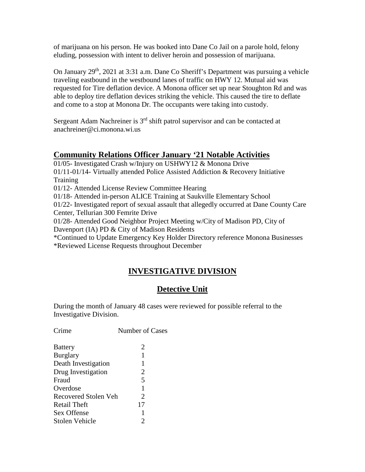of marijuana on his person. He was booked into Dane Co Jail on a parole hold, felony eluding, possession with intent to deliver heroin and possession of marijuana.

On January  $29<sup>th</sup>$ ,  $2021$  at 3:31 a.m. Dane Co Sheriff's Department was pursuing a vehicle traveling eastbound in the westbound lanes of traffic on HWY 12. Mutual aid was requested for Tire deflation device. A Monona officer set up near Stoughton Rd and was able to deploy tire deflation devices striking the vehicle. This caused the tire to deflate and come to a stop at Monona Dr. The occupants were taking into custody.

Sergeant Adam Nachreiner is  $3<sup>rd</sup>$  shift patrol supervisor and can be contacted at anachreiner@ci.monona.wi.us

## **Community Relations Officer January '21 Notable Activities**

01/05- Investigated Crash w/Injury on USHWY12 & Monona Drive 01/11-01/14- Virtually attended Police Assisted Addiction & Recovery Initiative Training 01/12- Attended License Review Committee Hearing 01/18- Attended in-person ALICE Training at Saukville Elementary School 01/22- Investigated report of sexual assault that allegedly occurred at Dane County Care Center, Tellurian 300 Femrite Drive 01/28- Attended Good Neighbor Project Meeting w/City of Madison PD, City of Davenport (IA) PD & City of Madison Residents \*Continued to Update Emergency Key Holder Directory reference Monona Businesses \*Reviewed License Requests throughout December

## **INVESTIGATIVE DIVISION**

## **Detective Unit**

During the month of January 48 cases were reviewed for possible referral to the Investigative Division.

| <b>Battery</b>              | 2  |
|-----------------------------|----|
| <b>Burglary</b>             | 1  |
| Death Investigation         | 1  |
| Drug Investigation          | 2  |
| Fraud                       | 5  |
| Overdose                    | 1  |
| <b>Recovered Stolen Veh</b> | 2  |
| <b>Retail Theft</b>         | 17 |
| Sex Offense                 | 1  |
| Stolen Vehicle              | 2  |
|                             |    |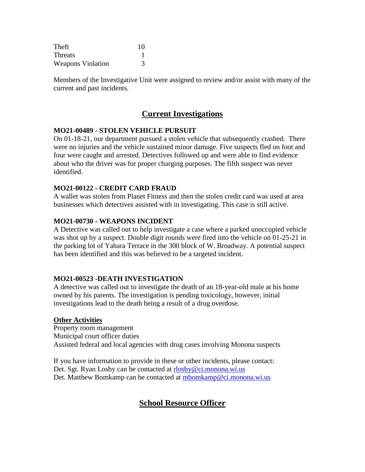| Theft                    | 10 |
|--------------------------|----|
| Threats                  |    |
| <b>Weapons Violation</b> |    |

Members of the Investigative Unit were assigned to review and/or assist with many of the current and past incidents.

## **Current Investigations**

#### **MO21-00489 - STOLEN VEHICLE PURSUIT**

On 01-18-21, our department pursued a stolen vehicle that subsequently crashed. There were no injuries and the vehicle sustained minor damage. Five suspects fled on foot and four were caught and arrested. Detectives followed up and were able to find evidence about who the driver was for proper charging purposes. The fifth suspect was never identified.

#### **MO21-00122 - CREDIT CARD FRAUD**

A wallet was stolen from Planet Fitness and then the stolen credit card was used at area businesses which detectives assisted with in investigating. This case is still active.

#### **MO21-00730 - WEAPONS INCIDENT**

A Detective was called out to help investigate a case where a parked unoccupied vehicle was shot up by a suspect. Double digit rounds were fired into the vehicle on 01-25-21 in the parking lot of Yahara Terrace in the 300 block of W. Broadway. A potential suspect has been identified and this was believed to be a targeted incident.

#### **MO21-00523 -DEATH INVESTIGATION**

A detective was called out to investigate the death of an 18-year-old male at his home owned by his parents. The investigation is pending toxicology, however, initial investigations lead to the death being a result of a drug overdose.

#### **Other Activities**

Property room management Municipal court officer duties Assisted federal and local agencies with drug cases involving Monona suspects

If you have information to provide in these or other incidents, please contact: Det. Sgt. Ryan Losby can be contacted at [rlosby@ci.monona.wi.us](mailto:rlosby@ci.monona.wi.us) Det. Matthew Bomkamp can be contacted at [mbomkamp@ci.monona.wi.us](mailto:mbomkamp@ci.monona.wi.us)

## **School Resource Officer**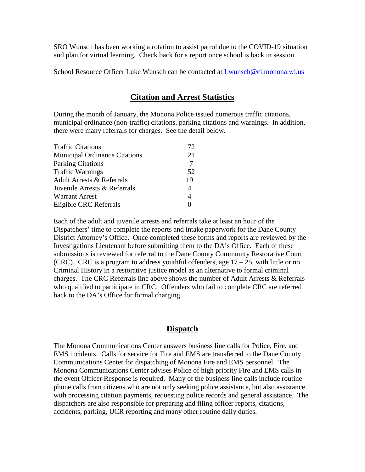SRO Wunsch has been working a rotation to assist patrol due to the COVID-19 situation and plan for virtual learning. Check back for a report once school is back in session.

School Resource Officer Luke Wunsch can be contacted at [Lwunsch@ci.monona.wi.us](mailto:Lwunsch@ci.monona.wi.us)

## **Citation and Arrest Statistics**

During the month of January, the Monona Police issued numerous traffic citations, municipal ordinance (non-traffic) citations, parking citations and warnings. In addition, there were many referrals for charges. See the detail below.

| <b>Traffic Citations</b>             | 172 |
|--------------------------------------|-----|
| <b>Municipal Ordinance Citations</b> | 21  |
| <b>Parking Citations</b>             | 7   |
| <b>Traffic Warnings</b>              | 152 |
| <b>Adult Arrests &amp; Referrals</b> | 19  |
| Juvenile Arrests & Referrals         | 4   |
| <b>Warrant Arrest</b>                | 4   |
| Eligible CRC Referrals               |     |

Each of the adult and juvenile arrests and referrals take at least an hour of the Dispatchers' time to complete the reports and intake paperwork for the Dane County District Attorney's Office. Once completed these forms and reports are reviewed by the Investigations Lieutenant before submitting them to the DA's Office. Each of these submissions is reviewed for referral to the Dane County Community Restorative Court (CRC). CRC is a program to address youthful offenders, age  $17 - 25$ , with little or no Criminal History in a restorative justice model as an alternative to formal criminal charges. The CRC Referrals line above shows the number of Adult Arrests & Referrals who qualified to participate in CRC. Offenders who fail to complete CRC are referred back to the DA's Office for formal charging.

#### **Dispatch**

The Monona Communications Center answers business line calls for Police, Fire, and EMS incidents. Calls for service for Fire and EMS are transferred to the Dane County Communications Center for dispatching of Monona Fire and EMS personnel. The Monona Communications Center advises Police of high priority Fire and EMS calls in the event Officer Response is required. Many of the business line calls include routine phone calls from citizens who are not only seeking police assistance, but also assistance with processing citation payments, requesting police records and general assistance. The dispatchers are also responsible for preparing and filing officer reports, citations, accidents, parking, UCR reporting and many other routine daily duties.